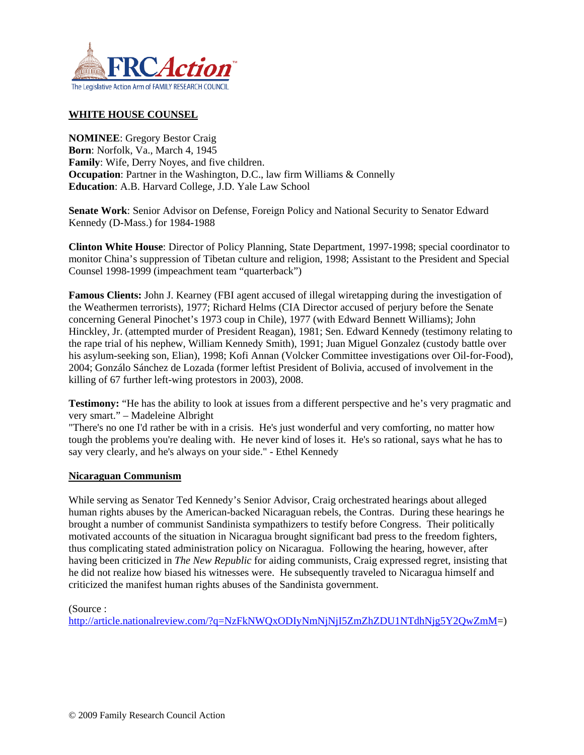

# **WHITE HOUSE COUNSEL**

**NOMINEE**: Gregory Bestor Craig **Born**: Norfolk, Va., March 4, 1945 **Family**: Wife, Derry Noyes, and five children. **Occupation**: Partner in the Washington, D.C., law firm Williams & Connelly **Education**: A.B. Harvard College, J.D. Yale Law School

**Senate Work**: Senior Advisor on Defense, Foreign Policy and National Security to Senator Edward Kennedy (D-Mass.) for 1984-1988

**Clinton White House**: Director of Policy Planning, State Department, 1997-1998; special coordinator to monitor China's suppression of Tibetan culture and religion, 1998; Assistant to the President and Special Counsel 1998-1999 (impeachment team "quarterback")

**Famous Clients:** John J. Kearney (FBI agent accused of illegal wiretapping during the investigation of the Weathermen terrorists), 1977; Richard Helms (CIA Director accused of perjury before the Senate concerning General Pinochet's 1973 coup in Chile), 1977 (with Edward Bennett Williams); John Hinckley, Jr. (attempted murder of President Reagan), 1981; Sen. Edward Kennedy (testimony relating to the rape trial of his nephew, William Kennedy Smith), 1991; Juan Miguel Gonzalez (custody battle over his asylum-seeking son, Elian), 1998; Kofi Annan (Volcker Committee investigations over Oil-for-Food), 2004; Gonzálo Sánchez de Lozada (former leftist President of Bolivia, accused of involvement in the killing of 67 further left-wing protestors in 2003), 2008.

**Testimony:** "He has the ability to look at issues from a different perspective and he's very pragmatic and very smart." – Madeleine Albright

"There's no one I'd rather be with in a crisis. He's just wonderful and very comforting, no matter how tough the problems you're dealing with. He never kind of loses it. He's so rational, says what he has to say very clearly, and he's always on your side." - Ethel Kennedy

#### **[Nicaraguan Communism](http://article.nationalreview.com/?q=NzFkNWQxODIyNmNjNjI5ZmZhZDU1NTdhNjg5Y2QwZmM=)**

While serving as Senator Ted Kennedy's Senior Advisor, Craig orchestrated hearings about alleged human rights abuses by the American-backed Nicaraguan rebels, the Contras. During these hearings he brought a number of communist Sandinista sympathizers to testify before Congress. Their politically motivated accounts of the situation in Nicaragua brought significant bad press to the freedom fighters, thus complicating stated administration policy on Nicaragua. Following the hearing, however, after having been criticized in *The New Republic* for aiding communists, Craig expressed regret, insisting that he did not realize how biased his witnesses were. He subsequently traveled to Nicaragua himself and criticized the manifest human rights abuses of the Sandinista government.

(Source :

[http://article.nationalreview.com/?q=NzFkNWQxODIyNmNjNjI5ZmZhZDU1NTdhNjg5Y2QwZmM=](http://article.nationalreview.com/?q=NzFkNWQxODIyNmNjNjI5ZmZhZDU1NTdhNjg5Y2QwZmM))